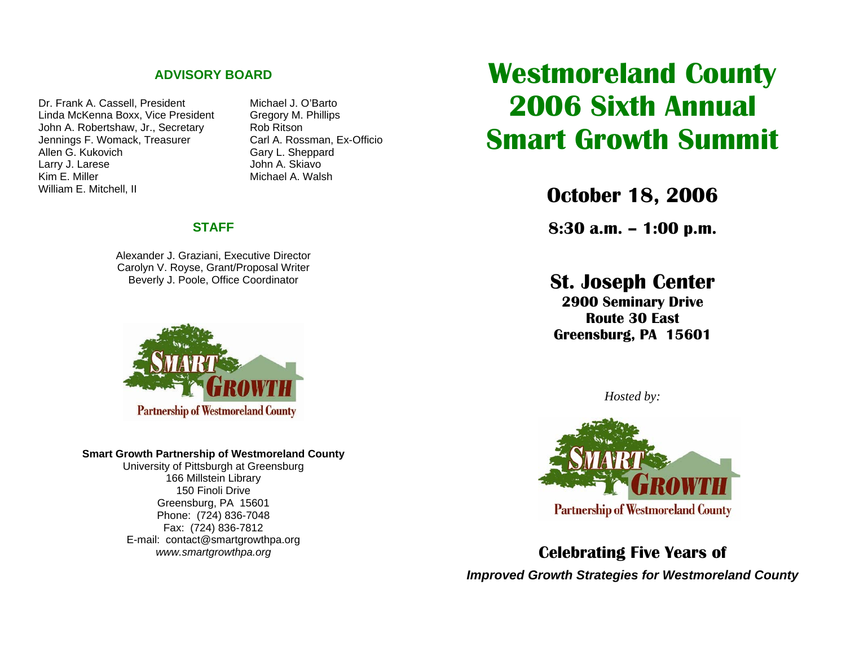### **ADVISORY BOARD**

Dr. Frank A. Cassell. President Michael J. O'Barto Linda McKenna Boxx, Vice President Gregory M. Phillips John A. Robertshaw, Jr., Secretary Rob Ritson Jennings F. Womack, Treasurer Carl A. Rossman, Ex-Officio<br>Allen G. Kukovich Carl Carv L. Sheppard Larry J. Larese John A. Skiavo Kim E. Miller Michael A. Walsh William E. Mitchell, II

Gary L. Sheppard

### **STAFF**

Alexander J. Graziani, Executive Director Carolyn V. Royse, Grant/Proposal Writer Beverly J. Poole, Office Coordinator



#### **Smart Growth Partnership of Westmoreland County**

University of Pittsburgh at Greensburg 166 Millstein Library 150 Finoli Drive Greensburg, PA 15601 Phone: (724) 836-7048 Fax: (724) 836-7812 E-mail: contact@smartgrowthpa.org *www.smartgrowthpa.org* 

**Westmoreland County 2006 Sixth Annual Smart Growth Summit**

**October 18, 2006** 

**8:30 a.m. – 1:00 p.m.** 

**St. Joseph Center** 

**2900 Seminary Drive Route 30 East Greensburg, PA 15601** 

*Hosted by:* 



**Celebrating Five Years of**  *Improved Growth Strategies for Westmoreland County*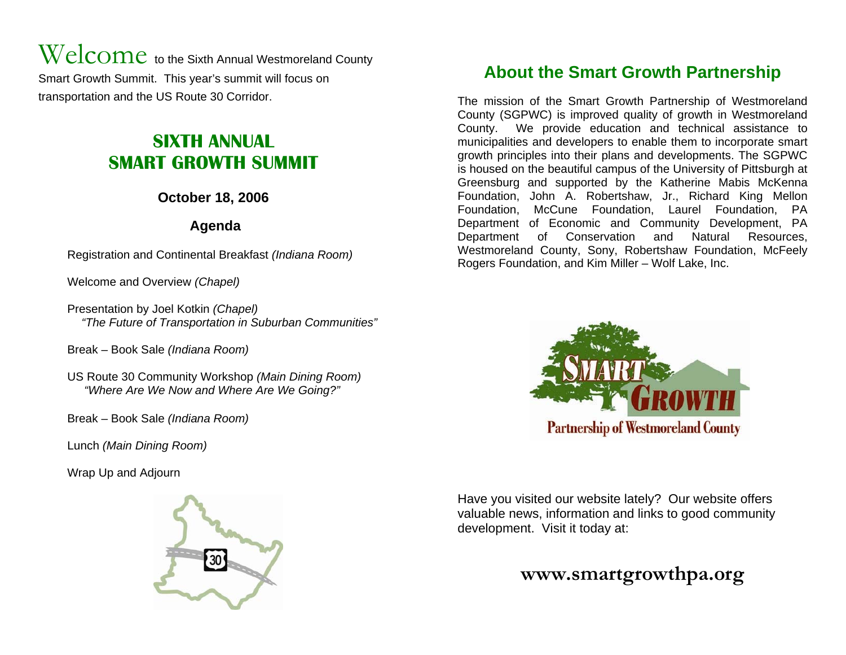$\operatorname{Welcome}$  to the Sixth Annual Westmoreland County Smart Growth Summit. This year's summit will focus on transportation and the US Route 30 Corridor.

# **SIXTH ANNUAL SMART GROWTH SUMMIT**

## **October 18, 2006**

## **Agenda**

Registration and Continental Breakfast *(Indiana Room)*

Welcome and Overview *(Chapel)* 

Presentation by Joel Kotkin *(Chapel) "The Future of Transportation in Suburban Communities"* 

Break – Book Sale *(Indiana Room)* 

US Route 30 Community Workshop *(Main Dining Room) "Where Are We Now and Where Are We Going?"* 

Break – Book Sale *(Indiana Room)* 

Lunch *(Main Dining Room)*

Wrap Up and Adjourn



## **About the Smart Growth Partnership**

The mission of the Smart Growth Partnership of Westmoreland County (SGPWC) is improved quality of growth in Westmoreland County. We provide education and technical assistance to municipalities and developers to enable them to incorporate smart growth principles into their plans and developments. The SGPWC is housed on the beautiful campus of the University of Pittsburgh at Greensburg and supported by the Katherine Mabis McKenna Foundation, John A. Robertshaw, Jr., Richard King Mellon Foundation, McCune Foundation, Laurel Foundation, PA Department of Economic and Community Development, PA Department of Conservation and Natural Resources, Westmoreland County, Sony, Robertshaw Foundation, McFeely Rogers Foundation, and Kim Miller – Wolf Lake, Inc.



Have you visited our website lately? Our website offers valuable news, information and links to good community development. Visit it today at:

## **www.smartgrowthpa.org**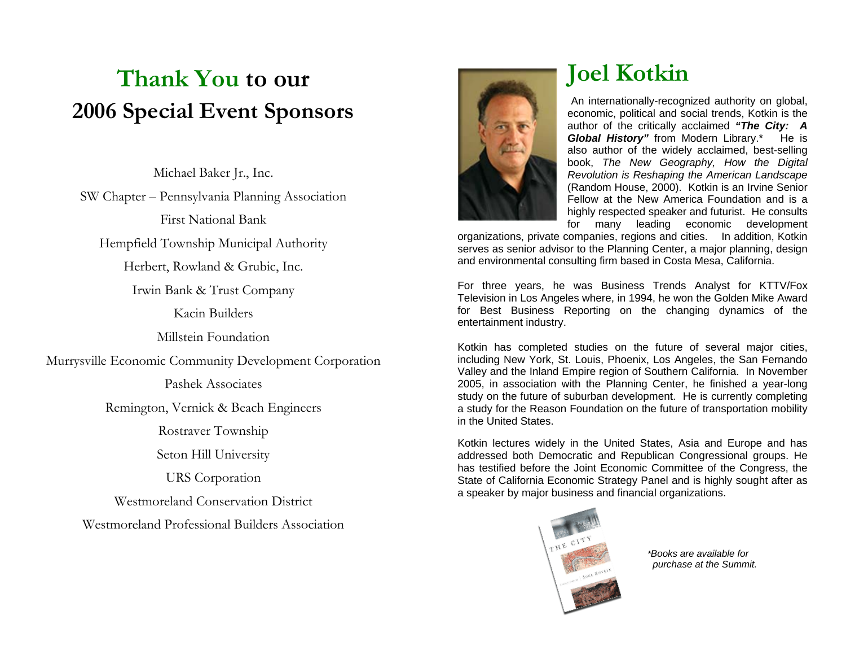# **Thank You to our 2006 Special Event Sponsors**

Michael Baker Jr., Inc. SW Chapter – Pennsylvania Planning Association First National Bank Hempfield Township Municipal Authority Herbert, Rowland & Grubic, Inc. Irwin Bank & Trust Company Kacin Builders Millstein Foundation Murrysville Economic Community Development Corporation Pashek Associates Remington, Vernick & Beach Engineers Rostraver Township Seton Hill University URS Corporation Westmoreland Conservation District Westmoreland Professional Builders Association



# **Joel Kotkin**

An internationally-recognized authority on global, economic, political and social trends, Kotkin is the author of the critically acclaimed *"The City: A Global History* from Modern Library.\* He is also author of the widely acclaimed, best-selling book, *The New Geography, How the Digital Revolution is Reshaping the American Landscape* (Random House, 2000). Kotkin is an Irvine Senior Fellow at the New America Foundation and is a highly respected speaker and futurist. He consults for many leading economic development

organizations, private companies, regions and cities. In addition, Kotkin serves as senior advisor to the Planning Center, a major planning, design and environmental consulting firm based in Costa Mesa, California.

For three years, he was Business Trends Analyst for KTTV/Fox Television in Los Angeles where, in 1994, he won the Golden Mike Award for Best Business Reporting on the changing dynamics of the entertainment industry.

Kotkin has completed studies on the future of several major cities, including New York, St. Louis, Phoenix, Los Angeles, the San Fernando Valley and the Inland Empire region of Southern California. In November 2005, in association with the Planning Center, he finished a year-long study on the future of suburban development. He is currently completing a study for the Reason Foundation on the future of transportation mobility in the United States.

Kotkin lectures widely in the United States, Asia and Europe and has addressed both Democratic and Republican Congressional groups. He has testified before the Joint Economic Committee of the Congress, the State of California Economic Strategy Panel and is highly sought after as a speaker by major business and financial organizations.



 *\*Books are available for purchase at the Summit.*